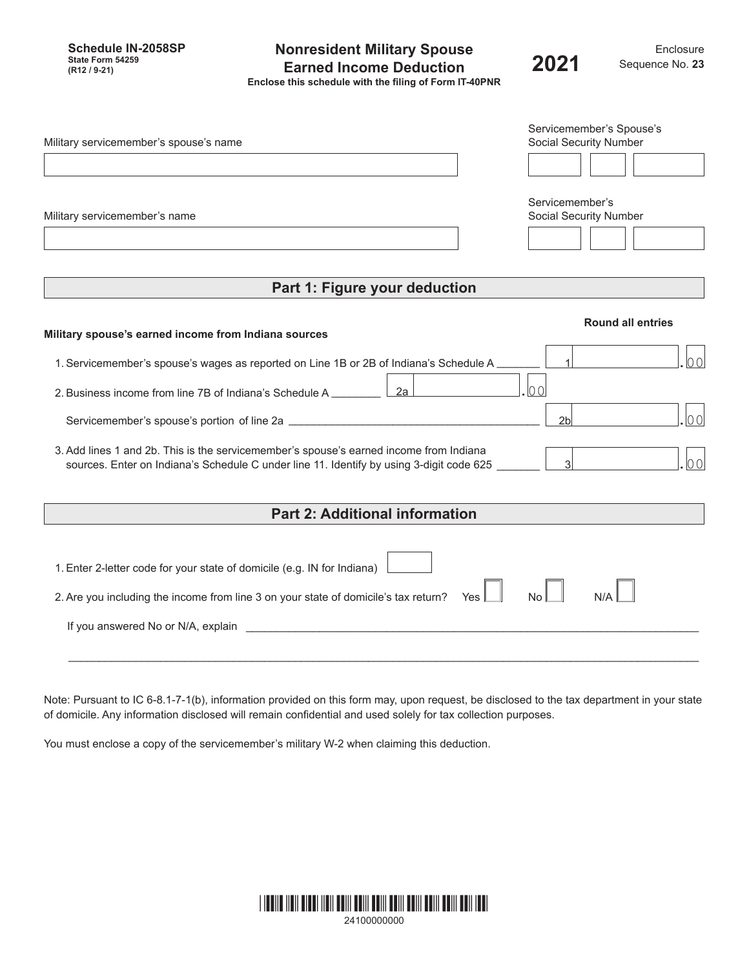**Schedule IN-2058SP State Form 54259**

### **Nonresident Military Spouse Earned Income Deduction (R12 / 9-21) 2021 Enclose this schedule with the filing of Form IT-40PNR**

| Military servicemember's spouse's name                                                 | Servicemember's Spouse's<br><b>Social Security Number</b> |
|----------------------------------------------------------------------------------------|-----------------------------------------------------------|
|                                                                                        |                                                           |
| Military servicemember's name                                                          | Servicemember's<br>Social Security Number                 |
|                                                                                        |                                                           |
| Part 1: Figure your deduction                                                          |                                                           |
| Military spouse's earned income from Indiana sources                                   | <b>Round all entries</b>                                  |
| 1. Servicemember's spouse's wages as reported on Line 1B or 2B of Indiana's Schedule A |                                                           |

2.Business income from line 7B of Indiana's Schedule A \_\_\_\_\_\_\_\_ 2a .00

Servicemember's spouse's portion of line 2a \_\_\_\_\_\_\_\_\_\_\_\_\_\_\_\_\_\_\_\_\_\_\_\_\_\_\_\_\_\_\_\_\_\_\_\_\_\_\_\_\_ 2b .00

3.Add lines 1 and 2b. This is the servicemember's spouse's earned income from Indiana sources. Enter on Indiana's Schedule C under line 11. Identify by using 3-digit code 625 \_\_\_\_\_\_\_ | 3

# **Part 2: Additional information**

| 1. Enter 2-letter code for your state of domicile (e.g. IN for Indiana)                 |                   |     |
|-----------------------------------------------------------------------------------------|-------------------|-----|
| 2. Are you including the income from line 3 on your state of domicile's tax return? Yes | $\mathsf{N}\circ$ | N/A |
| If you answered No or N/A, explain                                                      |                   |     |
|                                                                                         |                   |     |

Note: Pursuant to IC 6-8.1-7-1(b), information provided on this form may, upon request, be disclosed to the tax department in your state of domicile. Any information disclosed will remain confidential and used solely for tax collection purposes.

You must enclose a copy of the servicemember's military W-2 when claiming this deduction.